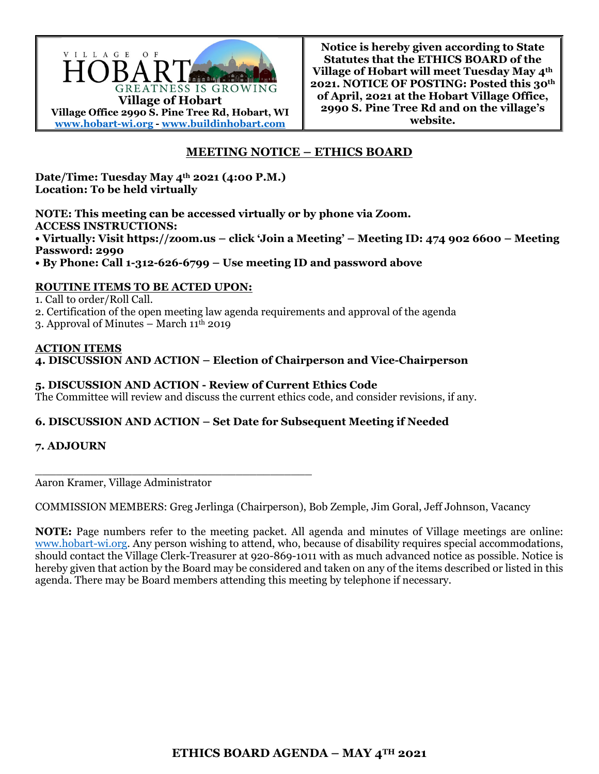

**Notice is hereby given according to State Statutes that the ETHICS BOARD of the Village of Hobart will meet Tuesday May 4th 2021. NOTICE OF POSTING: Posted this 30th of April, 2021 at the Hobart Village Office, 2990 S. Pine Tree Rd and on the village's website.** 

# **MEETING NOTICE – ETHICS BOARD**

**Date/Time: Tuesday May 4th 2021 (4:00 P.M.) Location: To be held virtually** 

**NOTE: This meeting can be accessed virtually or by phone via Zoom. ACCESS INSTRUCTIONS: • Virtually: Visit https://zoom.us – click 'Join a Meeting' – Meeting ID: 474 902 6600 – Meeting Password: 2990** 

**• By Phone: Call 1-312-626-6799 – Use meeting ID and password above** 

## **ROUTINE ITEMS TO BE ACTED UPON:**

1. Call to order/Roll Call.

2. Certification of the open meeting law agenda requirements and approval of the agenda

3. Approval of Minutes – March  $11^{\text{th}}$  2019

#### **ACTION ITEMS 4. DISCUSSION AND ACTION – Election of Chairperson and Vice-Chairperson**

## **5. DISCUSSION AND ACTION - Review of Current Ethics Code**

\_\_\_\_\_\_\_\_\_\_\_\_\_\_\_\_\_\_\_\_\_\_\_\_\_\_\_\_\_\_\_\_\_\_\_\_\_\_\_\_

The Committee will review and discuss the current ethics code, and consider revisions, if any.

#### **6. DISCUSSION AND ACTION – Set Date for Subsequent Meeting if Needed**

#### **7. ADJOURN**

Aaron Kramer, Village Administrator

COMMISSION MEMBERS: Greg Jerlinga (Chairperson), Bob Zemple, Jim Goral, Jeff Johnson, Vacancy

**NOTE:** Page numbers refer to the meeting packet. All agenda and minutes of Village meetings are online: www.hobart-wi.org. Any person wishing to attend, who, because of disability requires special accommodations, should contact the Village Clerk-Treasurer at 920-869-1011 with as much advanced notice as possible. Notice is hereby given that action by the Board may be considered and taken on any of the items described or listed in this agenda. There may be Board members attending this meeting by telephone if necessary.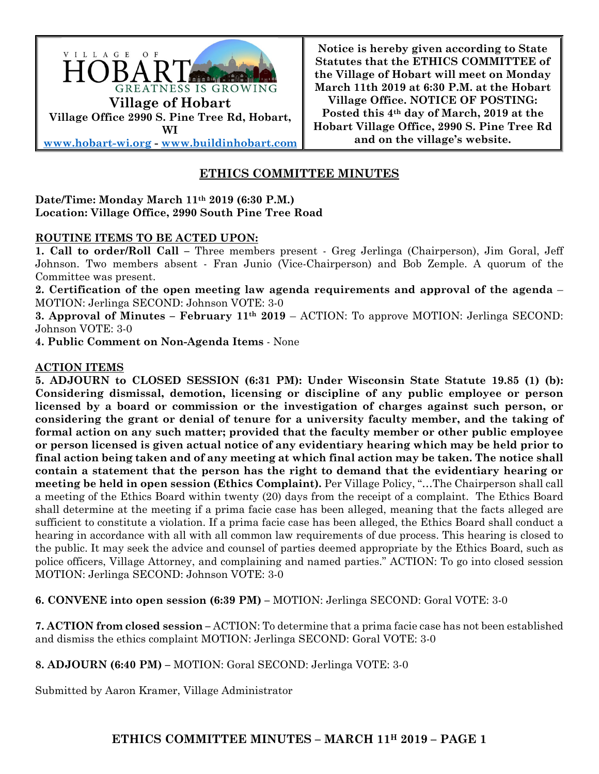

**Notice is hereby given according to State Statutes that the ETHICS COMMITTEE of the Village of Hobart will meet on Monday March 11th 2019 at 6:30 P.M. at the Hobart Village Office. NOTICE OF POSTING: Posted this 4th day of March, 2019 at the Hobart Village Office, 2990 S. Pine Tree Rd and on the village's website.**

# **ETHICS COMMITTEE MINUTES**

## **Date/Time: Monday March 11th 2019 (6:30 P.M.) Location: Village Office, 2990 South Pine Tree Road**

## **ROUTINE ITEMS TO BE ACTED UPON:**

**1. Call to order/Roll Call –** Three members present - Greg Jerlinga (Chairperson), Jim Goral, Jeff Johnson. Two members absent - Fran Junio (Vice-Chairperson) and Bob Zemple. A quorum of the Committee was present.

**2. Certification of the open meeting law agenda requirements and approval of the agenda** – MOTION: Jerlinga SECOND: Johnson VOTE: 3-0

**3. Approval of Minutes – February 11<sup>th</sup> 2019 – ACTION: To approve MOTION: Jerlinga SECOND:** Johnson VOTE: 3-0

**4. Public Comment on Non-Agenda Items** - None

#### **ACTION ITEMS**

**5. ADJOURN to CLOSED SESSION (6:31 PM): Under Wisconsin State Statute 19.85 (1) (b): Considering dismissal, demotion, licensing or discipline of any public employee or person licensed by a board or commission or the investigation of charges against such person, or considering the grant or denial of tenure for a university faculty member, and the taking of formal action on any such matter; provided that the faculty member or other public employee or person licensed is given actual notice of any evidentiary hearing which may be held prior to final action being taken and of any meeting at which final action may be taken. The notice shall contain a statement that the person has the right to demand that the evidentiary hearing or meeting be held in open session (Ethics Complaint).** Per Village Policy, "…The Chairperson shall call a meeting of the Ethics Board within twenty (20) days from the receipt of a complaint. The Ethics Board shall determine at the meeting if a prima facie case has been alleged, meaning that the facts alleged are sufficient to constitute a violation. If a prima facie case has been alleged, the Ethics Board shall conduct a hearing in accordance with all with all common law requirements of due process. This hearing is closed to the public. It may seek the advice and counsel of parties deemed appropriate by the Ethics Board, such as police officers, Village Attorney, and complaining and named parties." ACTION: To go into closed session MOTION: Jerlinga SECOND: Johnson VOTE: 3-0

**6. CONVENE into open session (6:39 PM) –** MOTION: Jerlinga SECOND: Goral VOTE: 3-0

**7. ACTION from closed session –** ACTION: To determine that a prima facie case has not been established and dismiss the ethics complaint MOTION: Jerlinga SECOND: Goral VOTE: 3-0

**8. ADJOURN (6:40 PM) –** MOTION: Goral SECOND: Jerlinga VOTE: 3-0

Submitted by Aaron Kramer, Village Administrator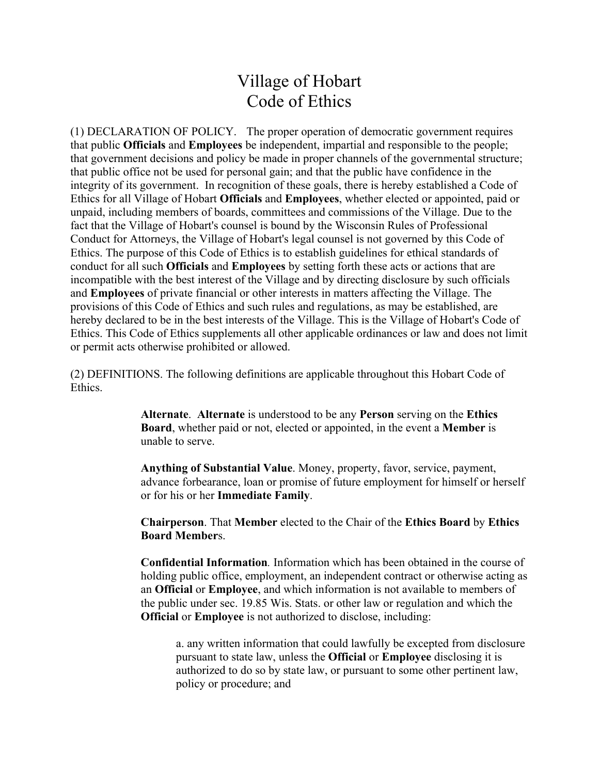# Village of Hobart Code of Ethics

(1) DECLARATION OF POLICY. The proper operation of democratic government requires that public **Officials** and **Employees** be independent, impartial and responsible to the people; that government decisions and policy be made in proper channels of the governmental structure; that public office not be used for personal gain; and that the public have confidence in the integrity of its government. In recognition of these goals, there is hereby established a Code of Ethics for all Village of Hobart **Officials** and **Employees**, whether elected or appointed, paid or unpaid, including members of boards, committees and commissions of the Village. Due to the fact that the Village of Hobart's counsel is bound by the Wisconsin Rules of Professional Conduct for Attorneys, the Village of Hobart's legal counsel is not governed by this Code of Ethics. The purpose of this Code of Ethics is to establish guidelines for ethical standards of conduct for all such **Officials** and **Employees** by setting forth these acts or actions that are incompatible with the best interest of the Village and by directing disclosure by such officials and **Employees** of private financial or other interests in matters affecting the Village. The provisions of this Code of Ethics and such rules and regulations, as may be established, are hereby declared to be in the best interests of the Village. This is the Village of Hobart's Code of Ethics. This Code of Ethics supplements all other applicable ordinances or law and does not limit or permit acts otherwise prohibited or allowed.

(2) DEFINITIONS. The following definitions are applicable throughout this Hobart Code of Ethics.

> **Alternate**. **Alternate** is understood to be any **Person** serving on the **Ethics Board**, whether paid or not, elected or appointed, in the event a **Member** is unable to serve.

**Anything of Substantial Value**. Money, property, favor, service, payment, advance forbearance, loan or promise of future employment for himself or herself or for his or her **Immediate Family**.

**Chairperson**. That **Member** elected to the Chair of the **Ethics Board** by **Ethics Board Member**s.

**Confidential Information***.* Information which has been obtained in the course of holding public office, employment, an independent contract or otherwise acting as an **Official** or **Employee**, and which information is not available to members of the public under sec. 19.85 Wis. Stats. or other law or regulation and which the **Official** or **Employee** is not authorized to disclose, including:

a. any written information that could lawfully be excepted from disclosure pursuant to state law, unless the **Official** or **Employee** disclosing it is authorized to do so by state law, or pursuant to some other pertinent law, policy or procedure; and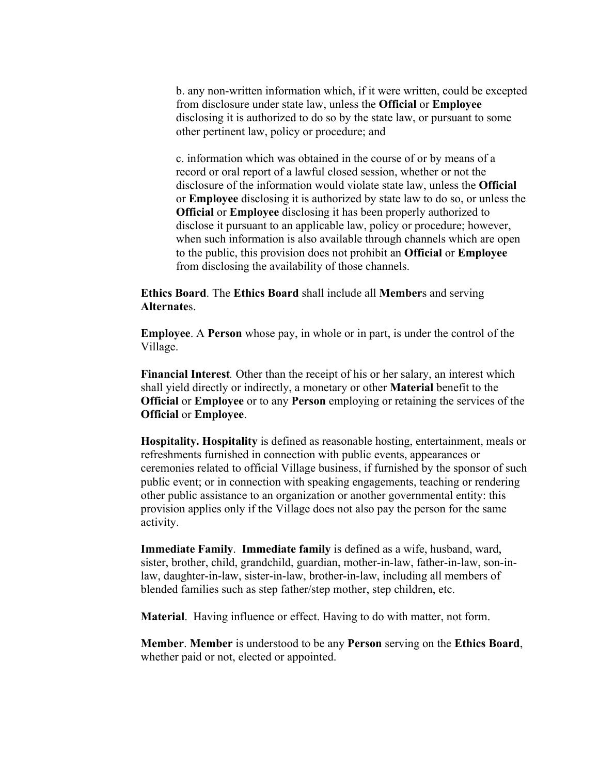b. any non-written information which, if it were written, could be excepted from disclosure under state law, unless the **Official** or **Employee** disclosing it is authorized to do so by the state law, or pursuant to some other pertinent law, policy or procedure; and

c. information which was obtained in the course of or by means of a record or oral report of a lawful closed session, whether or not the disclosure of the information would violate state law, unless the **Official**  or **Employee** disclosing it is authorized by state law to do so, or unless the **Official** or **Employee** disclosing it has been properly authorized to disclose it pursuant to an applicable law, policy or procedure; however, when such information is also available through channels which are open to the public, this provision does not prohibit an **Official** or **Employee** from disclosing the availability of those channels.

**Ethics Board**. The **Ethics Board** shall include all **Member**s and serving **Alternate**s.

**Employee**. A **Person** whose pay, in whole or in part, is under the control of the Village.

**Financial Interest***.* Other than the receipt of his or her salary, an interest which shall yield directly or indirectly, a monetary or other **Material** benefit to the **Official** or **Employee** or to any **Person** employing or retaining the services of the **Official** or **Employee**.

**Hospitality. Hospitality** is defined as reasonable hosting, entertainment, meals or refreshments furnished in connection with public events, appearances or ceremonies related to official Village business, if furnished by the sponsor of such public event; or in connection with speaking engagements, teaching or rendering other public assistance to an organization or another governmental entity: this provision applies only if the Village does not also pay the person for the same activity.

**Immediate Family**. **Immediate family** is defined as a wife, husband, ward, sister, brother, child, grandchild, guardian, mother-in-law, father-in-law, son-inlaw, daughter-in-law, sister-in-law, brother-in-law, including all members of blended families such as step father/step mother, step children, etc.

**Material**. Having influence or effect. Having to do with matter, not form.

**Member**. **Member** is understood to be any **Person** serving on the **Ethics Board**, whether paid or not, elected or appointed.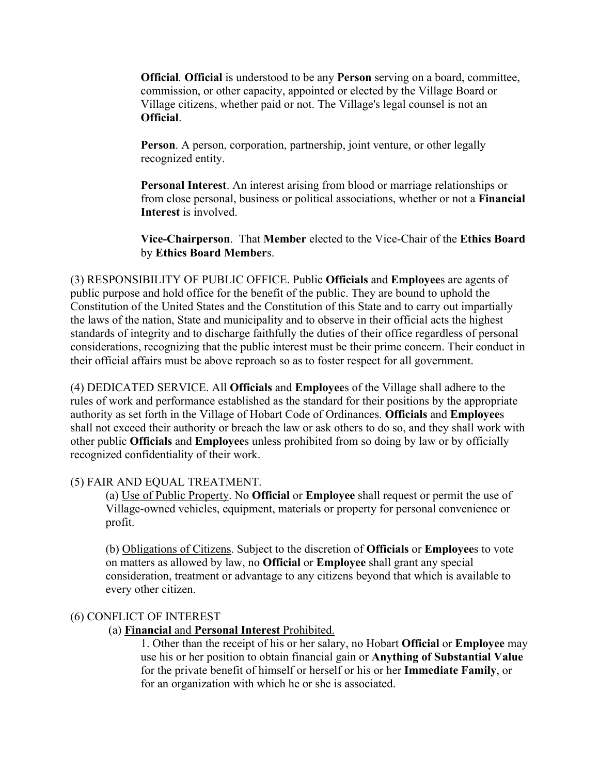**Official***.* **Official** is understood to be any **Person** serving on a board, committee, commission, or other capacity, appointed or elected by the Village Board or Village citizens, whether paid or not. The Village's legal counsel is not an **Official**.

**Person**. A person, corporation, partnership, joint venture, or other legally recognized entity.

**Personal Interest**. An interest arising from blood or marriage relationships or from close personal, business or political associations, whether or not a **Financial Interest** is involved.

**Vice-Chairperson**. That **Member** elected to the Vice-Chair of the **Ethics Board** by **Ethics Board Member**s.

(3) RESPONSIBILITY OF PUBLIC OFFICE. Public **Officials** and **Employee**s are agents of public purpose and hold office for the benefit of the public. They are bound to uphold the Constitution of the United States and the Constitution of this State and to carry out impartially the laws of the nation, State and municipality and to observe in their official acts the highest standards of integrity and to discharge faithfully the duties of their office regardless of personal considerations, recognizing that the public interest must be their prime concern. Their conduct in their official affairs must be above reproach so as to foster respect for all government.

(4) DEDICATED SERVICE. All **Officials** and **Employee**s of the Village shall adhere to the rules of work and performance established as the standard for their positions by the appropriate authority as set forth in the Village of Hobart Code of Ordinances. **Officials** and **Employee**s shall not exceed their authority or breach the law or ask others to do so, and they shall work with other public **Officials** and **Employee**s unless prohibited from so doing by law or by officially recognized confidentiality of their work.

# (5) FAIR AND EQUAL TREATMENT.

(a) Use of Public Property. No **Official** or **Employee** shall request or permit the use of Village-owned vehicles, equipment, materials or property for personal convenience or profit.

(b) Obligations of Citizens. Subject to the discretion of **Officials** or **Employee**s to vote on matters as allowed by law, no **Official** or **Employee** shall grant any special consideration, treatment or advantage to any citizens beyond that which is available to every other citizen.

#### (6) CONFLICT OF INTEREST

(a) **Financial** and **Personal Interest** Prohibited.

1. Other than the receipt of his or her salary, no Hobart **Official** or **Employee** may use his or her position to obtain financial gain or **Anything of Substantial Value** for the private benefit of himself or herself or his or her **Immediate Family**, or for an organization with which he or she is associated.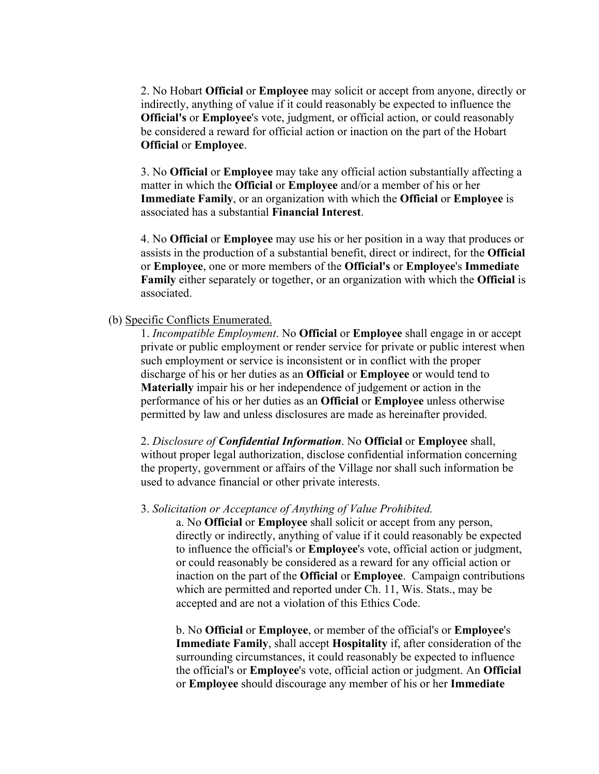2. No Hobart **Official** or **Employee** may solicit or accept from anyone, directly or indirectly, anything of value if it could reasonably be expected to influence the **Official's** or **Employee**'s vote, judgment, or official action, or could reasonably be considered a reward for official action or inaction on the part of the Hobart **Official** or **Employee**.

3. No **Official** or **Employee** may take any official action substantially affecting a matter in which the **Official** or **Employee** and/or a member of his or her **Immediate Family**, or an organization with which the **Official** or **Employee** is associated has a substantial **Financial Interest**.

4. No **Official** or **Employee** may use his or her position in a way that produces or assists in the production of a substantial benefit, direct or indirect, for the **Official**  or **Employee**, one or more members of the **Official's** or **Employee**'s **Immediate Family** either separately or together, or an organization with which the **Official** is associated.

#### (b) Specific Conflicts Enumerated.

1. *Incompatible Employment*. No **Official** or **Employee** shall engage in or accept private or public employment or render service for private or public interest when such employment or service is inconsistent or in conflict with the proper discharge of his or her duties as an **Official** or **Employee** or would tend to **Materially** impair his or her independence of judgement or action in the performance of his or her duties as an **Official** or **Employee** unless otherwise permitted by law and unless disclosures are made as hereinafter provided.

2. *Disclosure of Confidential Information*. No **Official** or **Employee** shall, without proper legal authorization, disclose confidential information concerning the property, government or affairs of the Village nor shall such information be used to advance financial or other private interests.

#### 3. *Solicitation or Acceptance of Anything of Value Prohibited.*

a. No **Official** or **Employee** shall solicit or accept from any person, directly or indirectly, anything of value if it could reasonably be expected to influence the official's or **Employee**'s vote, official action or judgment, or could reasonably be considered as a reward for any official action or inaction on the part of the **Official** or **Employee**. Campaign contributions which are permitted and reported under Ch. 11, Wis. Stats., may be accepted and are not a violation of this Ethics Code.

b. No **Official** or **Employee**, or member of the official's or **Employee**'s **Immediate Family**, shall accept **Hospitality** if, after consideration of the surrounding circumstances, it could reasonably be expected to influence the official's or **Employee**'s vote, official action or judgment. An **Official** or **Employee** should discourage any member of his or her **Immediate**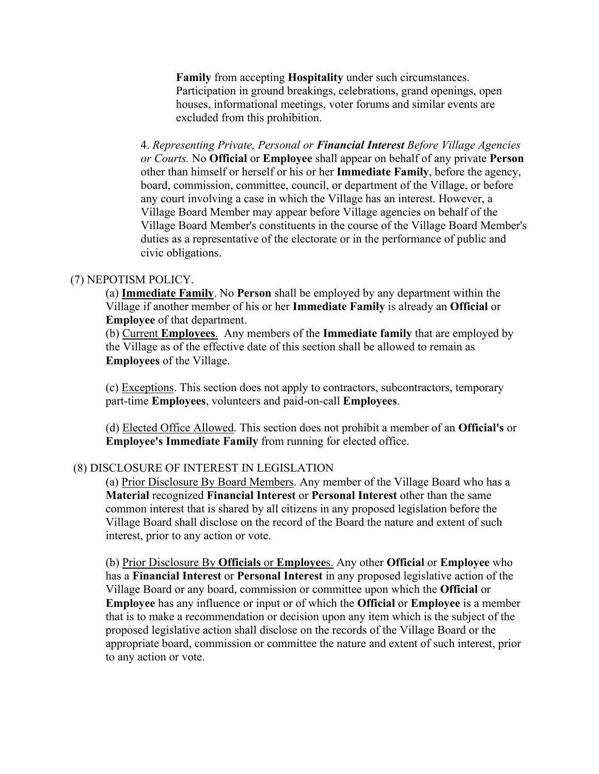**Family** from accepting **Hospitality** under such circumstances. Participation in ground breakings, celebrations, grand openings, open houses, informational meetings, voter forums and similar events are excluded from this prohibition.

4. *Representing Private, Personal or Financial Interest Before Village Agencies or Courts.* No **Official** or **Employee** shall appear on behalf of any private **Person**  other than himself or herself or his or her **Immediate Family**, before the agency, board, commission, committee, council, or department of the Village, or before any court involving a case in which the Village has an interest. However, a Village Board Member may appear before Village agencies on behalf of the Village Board Member's constituents in the course of the Village Board Member's duties as a representative of the electorate or in the performance of public and civic obligations.

#### (7) NEPOTISM POLICY.

(a) **Immediate Family**. No **Person** shall be employed by any department within the Village if another member of his or her **Immediate Family** is already an **Official** or **Employee** of that department.

(b) Current **Employees**. Any members of the **Immediate family** that are employed by the Village as of the effective date of this section shall be allowed to remain as **Employees** of the Village.

(c) Exceptions. This section does not apply to contractors, subcontractors, temporary part-time **Employees**, volunteers and paid-on-call **Employees**.

(d) Elected Office Allowed. This section does not prohibit a member of an **Official's** or **Employee's Immediate Family** from running for elected office.

## (8) DISCLOSURE OF INTEREST IN LEGISLATION

(a) Prior Disclosure By Board Members. Any member of the Village Board who has a **Material** recognized **Financial Interest** or **Personal Interest** other than the same common interest that is shared by all citizens in any proposed legislation before the Village Board shall disclose on the record of the Board the nature and extent of such interest, prior to any action or vote.

(b) Prior Disclosure By **Officials** or **Employee**s. Any other **Official** or **Employee** who has a **Financial Interest** or **Personal Interest** in any proposed legislative action of the Village Board or any board, commission or committee upon which the **Official** or **Employee** has any influence or input or of which the **Official** or **Employee** is a member that is to make a recommendation or decision upon any item which is the subject of the proposed legislative action shall disclose on the records of the Village Board or the appropriate board, commission or committee the nature and extent of such interest, prior to any action or vote.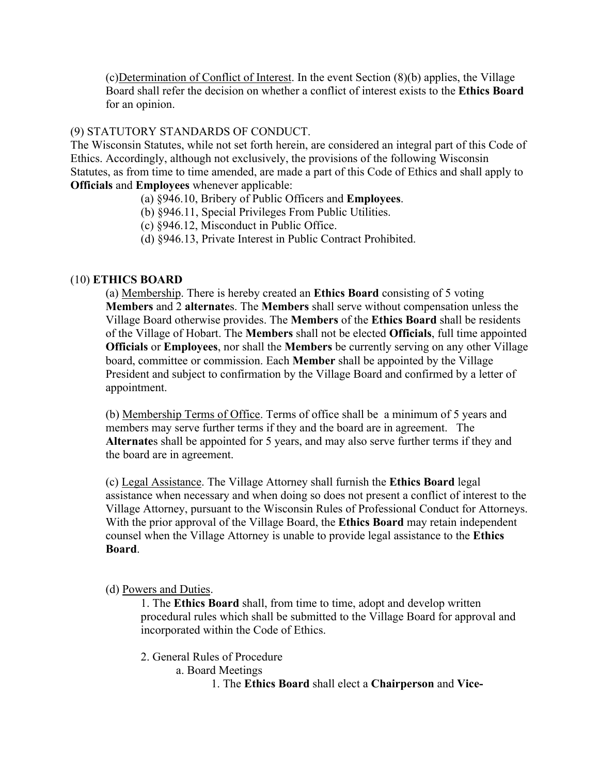(c)Determination of Conflict of Interest. In the event Section (8)(b) applies, the Village Board shall refer the decision on whether a conflict of interest exists to the **Ethics Board** for an opinion.

# (9) STATUTORY STANDARDS OF CONDUCT.

The Wisconsin Statutes, while not set forth herein, are considered an integral part of this Code of Ethics. Accordingly, although not exclusively, the provisions of the following Wisconsin Statutes, as from time to time amended, are made a part of this Code of Ethics and shall apply to **Officials** and **Employees** whenever applicable:

- (a) §946.10, Bribery of Public Officers and **Employees**.
- (b) §946.11, Special Privileges From Public Utilities.
- (c) §946.12, Misconduct in Public Office.
- (d) §946.13, Private Interest in Public Contract Prohibited.

#### (10) **ETHICS BOARD**

(a) Membership. There is hereby created an **Ethics Board** consisting of 5 voting **Members** and 2 **alternate**s. The **Members** shall serve without compensation unless the Village Board otherwise provides. The **Members** of the **Ethics Board** shall be residents of the Village of Hobart. The **Members** shall not be elected **Officials**, full time appointed **Officials** or **Employees**, nor shall the **Members** be currently serving on any other Village board, committee or commission. Each **Member** shall be appointed by the Village President and subject to confirmation by the Village Board and confirmed by a letter of appointment.

(b) Membership Terms of Office. Terms of office shall be a minimum of 5 years and members may serve further terms if they and the board are in agreement. The **Alternate**s shall be appointed for 5 years, and may also serve further terms if they and the board are in agreement.

(c) Legal Assistance. The Village Attorney shall furnish the **Ethics Board** legal assistance when necessary and when doing so does not present a conflict of interest to the Village Attorney, pursuant to the Wisconsin Rules of Professional Conduct for Attorneys. With the prior approval of the Village Board, the **Ethics Board** may retain independent counsel when the Village Attorney is unable to provide legal assistance to the **Ethics Board**.

#### (d) Powers and Duties.

1. The **Ethics Board** shall, from time to time, adopt and develop written procedural rules which shall be submitted to the Village Board for approval and incorporated within the Code of Ethics.

2. General Rules of Procedure

a. Board Meetings

1. The **Ethics Board** shall elect a **Chairperson** and **Vice-**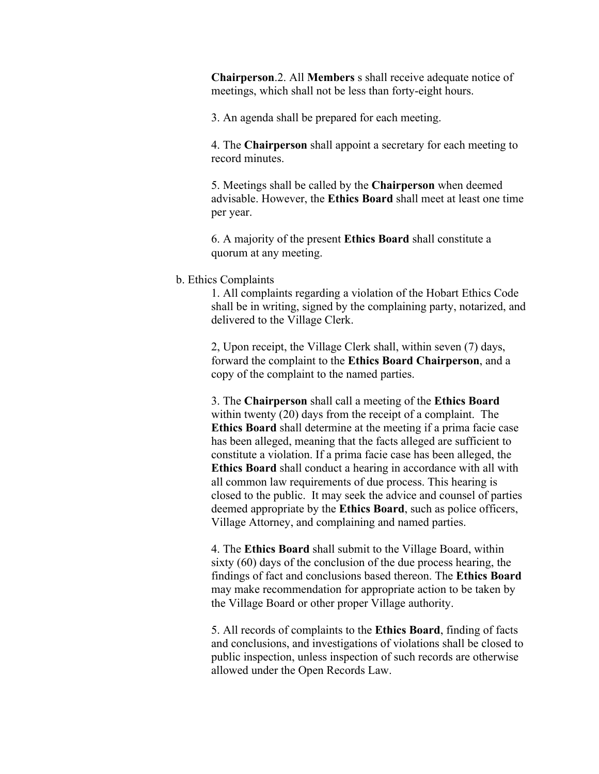**Chairperson**.2. All **Members** s shall receive adequate notice of meetings, which shall not be less than forty-eight hours.

3. An agenda shall be prepared for each meeting.

4. The **Chairperson** shall appoint a secretary for each meeting to record minutes.

5. Meetings shall be called by the **Chairperson** when deemed advisable. However, the **Ethics Board** shall meet at least one time per year.

6. A majority of the present **Ethics Board** shall constitute a quorum at any meeting.

#### b. Ethics Complaints

1. All complaints regarding a violation of the Hobart Ethics Code shall be in writing, signed by the complaining party, notarized, and delivered to the Village Clerk.

2, Upon receipt, the Village Clerk shall, within seven (7) days, forward the complaint to the **Ethics Board Chairperson**, and a copy of the complaint to the named parties.

3. The **Chairperson** shall call a meeting of the **Ethics Board** within twenty (20) days from the receipt of a complaint. The **Ethics Board** shall determine at the meeting if a prima facie case has been alleged, meaning that the facts alleged are sufficient to constitute a violation. If a prima facie case has been alleged, the **Ethics Board** shall conduct a hearing in accordance with all with all common law requirements of due process. This hearing is closed to the public. It may seek the advice and counsel of parties deemed appropriate by the **Ethics Board**, such as police officers, Village Attorney, and complaining and named parties.

4. The **Ethics Board** shall submit to the Village Board, within sixty (60) days of the conclusion of the due process hearing, the findings of fact and conclusions based thereon. The **Ethics Board** may make recommendation for appropriate action to be taken by the Village Board or other proper Village authority.

5. All records of complaints to the **Ethics Board**, finding of facts and conclusions, and investigations of violations shall be closed to public inspection, unless inspection of such records are otherwise allowed under the Open Records Law.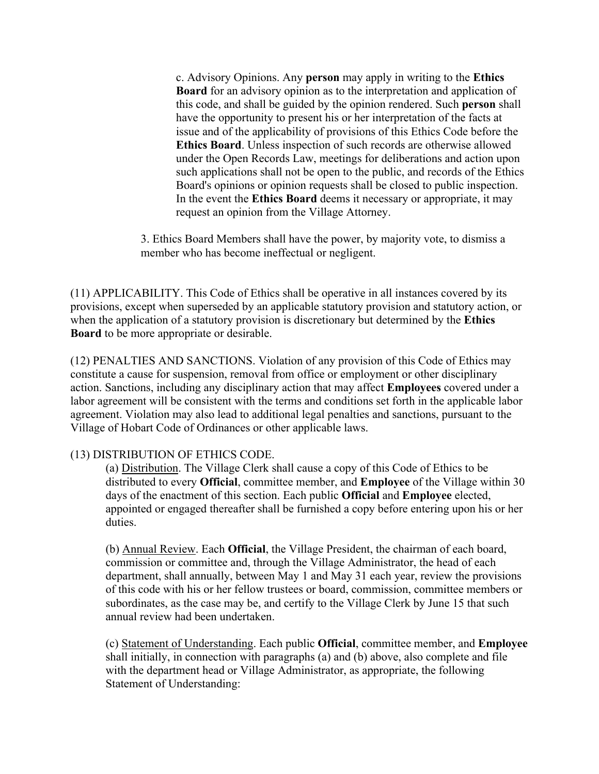c. Advisory Opinions. Any **person** may apply in writing to the **Ethics Board** for an advisory opinion as to the interpretation and application of this code, and shall be guided by the opinion rendered. Such **person** shall have the opportunity to present his or her interpretation of the facts at issue and of the applicability of provisions of this Ethics Code before the **Ethics Board**. Unless inspection of such records are otherwise allowed under the Open Records Law, meetings for deliberations and action upon such applications shall not be open to the public, and records of the Ethics Board's opinions or opinion requests shall be closed to public inspection. In the event the **Ethics Board** deems it necessary or appropriate, it may request an opinion from the Village Attorney.

3. Ethics Board Members shall have the power, by majority vote, to dismiss a member who has become ineffectual or negligent.

(11) APPLICABILITY. This Code of Ethics shall be operative in all instances covered by its provisions, except when superseded by an applicable statutory provision and statutory action, or when the application of a statutory provision is discretionary but determined by the **Ethics Board** to be more appropriate or desirable.

(12) PENALTIES AND SANCTIONS. Violation of any provision of this Code of Ethics may constitute a cause for suspension, removal from office or employment or other disciplinary action. Sanctions, including any disciplinary action that may affect **Employees** covered under a labor agreement will be consistent with the terms and conditions set forth in the applicable labor agreement. Violation may also lead to additional legal penalties and sanctions, pursuant to the Village of Hobart Code of Ordinances or other applicable laws.

# (13) DISTRIBUTION OF ETHICS CODE.

(a) Distribution. The Village Clerk shall cause a copy of this Code of Ethics to be distributed to every **Official**, committee member, and **Employee** of the Village within 30 days of the enactment of this section. Each public **Official** and **Employee** elected, appointed or engaged thereafter shall be furnished a copy before entering upon his or her duties.

(b) Annual Review. Each **Official**, the Village President, the chairman of each board, commission or committee and, through the Village Administrator, the head of each department, shall annually, between May 1 and May 31 each year, review the provisions of this code with his or her fellow trustees or board, commission, committee members or subordinates, as the case may be, and certify to the Village Clerk by June 15 that such annual review had been undertaken.

(c) Statement of Understanding. Each public **Official**, committee member, and **Employee** shall initially, in connection with paragraphs (a) and (b) above, also complete and file with the department head or Village Administrator, as appropriate, the following Statement of Understanding: